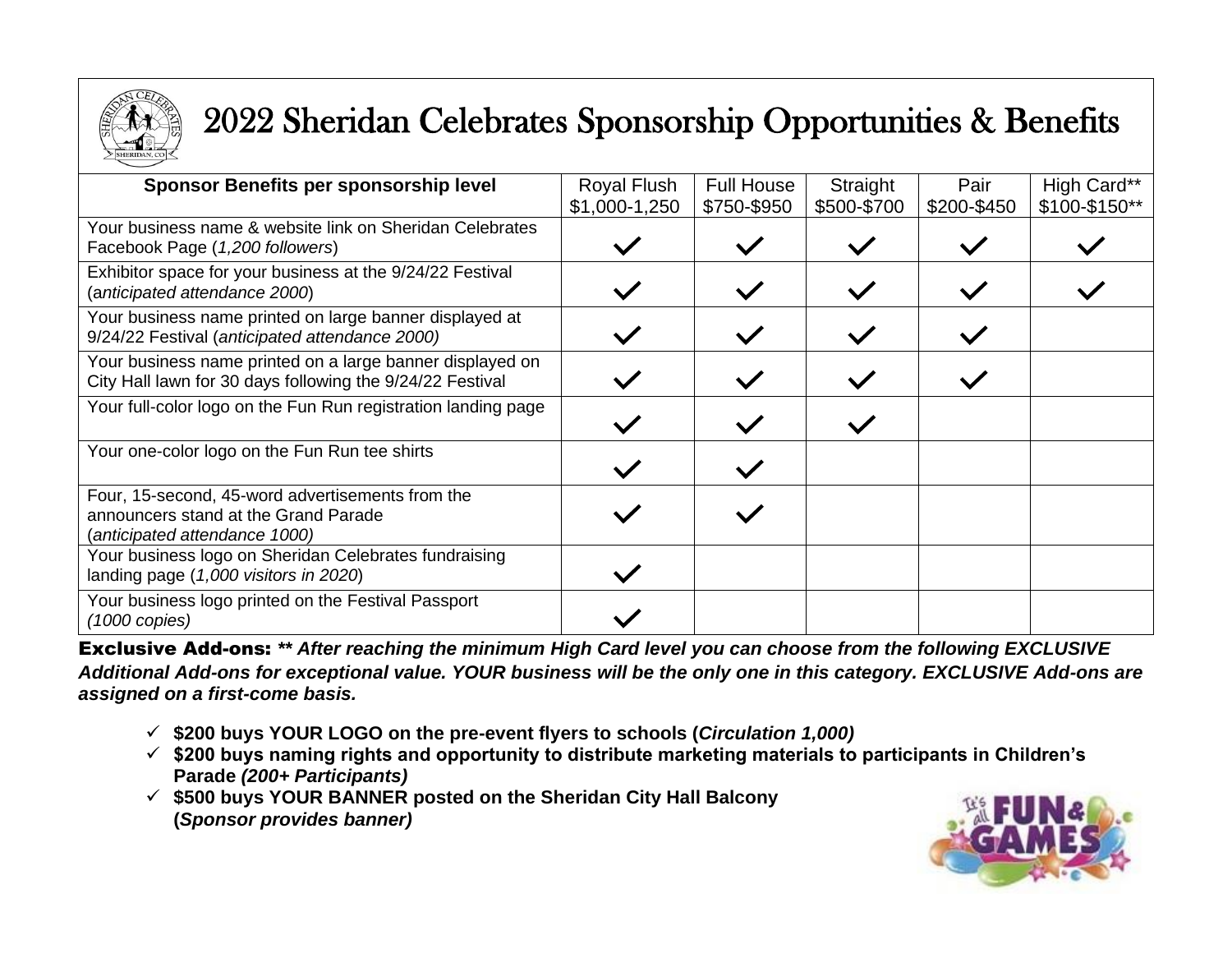

## 2022 Sheridan Celebrates Sponsorship Opportunities & Benefits

| Sponsor Benefits per sponsorship level                                                                                    | Royal Flush   | <b>Full House</b> | Straight    | Pair        | High Card**   |
|---------------------------------------------------------------------------------------------------------------------------|---------------|-------------------|-------------|-------------|---------------|
|                                                                                                                           | \$1,000-1,250 | \$750-\$950       | \$500-\$700 | \$200-\$450 | \$100-\$150** |
| Your business name & website link on Sheridan Celebrates<br>Facebook Page (1,200 followers)                               |               |                   |             |             |               |
| Exhibitor space for your business at the 9/24/22 Festival<br>(anticipated attendance 2000)                                |               |                   |             |             |               |
| Your business name printed on large banner displayed at<br>9/24/22 Festival (anticipated attendance 2000)                 |               |                   |             |             |               |
| Your business name printed on a large banner displayed on<br>City Hall lawn for 30 days following the 9/24/22 Festival    |               |                   |             |             |               |
| Your full-color logo on the Fun Run registration landing page                                                             |               |                   |             |             |               |
| Your one-color logo on the Fun Run tee shirts                                                                             |               |                   |             |             |               |
| Four, 15-second, 45-word advertisements from the<br>announcers stand at the Grand Parade<br>(anticipated attendance 1000) |               |                   |             |             |               |
| Your business logo on Sheridan Celebrates fundraising<br>landing page (1,000 visitors in 2020)                            |               |                   |             |             |               |
| Your business logo printed on the Festival Passport<br>(1000 copies)                                                      |               |                   |             |             |               |

Exclusive Add-ons: *\*\* After reaching the minimum High Card level you can choose from the following EXCLUSIVE Additional Add-ons for exceptional value. YOUR business will be the only one in this category. EXCLUSIVE Add-ons are assigned on a first-come basis.*

- ✓ **\$200 buys YOUR LOGO on the pre-event flyers to schools (***Circulation 1,000)*
- ✓ **\$200 buys naming rights and opportunity to distribute marketing materials to participants in Children's Parade** *(200+ Participants)*
- ✓ **\$500 buys YOUR BANNER posted on the Sheridan City Hall Balcony (***Sponsor provides banner)*